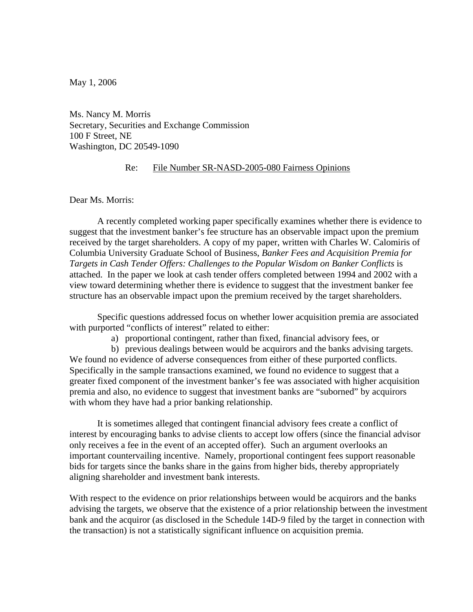May 1, 2006

Ms. Nancy M. Morris Secretary, Securities and Exchange Commission 100 F Street, NE Washington, DC 20549-1090

### Re: File Number SR-NASD-2005-080 Fairness Opinions

Dear Ms. Morris:

 A recently completed working paper specifically examines whether there is evidence to suggest that the investment banker's fee structure has an observable impact upon the premium received by the target shareholders. A copy of my paper, written with Charles W. Calomiris of Columbia University Graduate School of Business, *Banker Fees and Acquisition Premia for Targets in Cash Tender Offers: Challenges to the Popular Wisdom on Banker Conflicts* is attached. In the paper we look at cash tender offers completed between 1994 and 2002 with a view toward determining whether there is evidence to suggest that the investment banker fee structure has an observable impact upon the premium received by the target shareholders.

Specific questions addressed focus on whether lower acquisition premia are associated with purported "conflicts of interest" related to either:

a) proportional contingent, rather than fixed, financial advisory fees, or

b) previous dealings between would be acquirors and the banks advising targets. We found no evidence of adverse consequences from either of these purported conflicts. Specifically in the sample transactions examined, we found no evidence to suggest that a greater fixed component of the investment banker's fee was associated with higher acquisition premia and also, no evidence to suggest that investment banks are "suborned" by acquirors with whom they have had a prior banking relationship.

 It is sometimes alleged that contingent financial advisory fees create a conflict of interest by encouraging banks to advise clients to accept low offers (since the financial advisor only receives a fee in the event of an accepted offer). Such an argument overlooks an important countervailing incentive. Namely, proportional contingent fees support reasonable bids for targets since the banks share in the gains from higher bids, thereby appropriately aligning shareholder and investment bank interests.

With respect to the evidence on prior relationships between would be acquirors and the banks advising the targets, we observe that the existence of a prior relationship between the investment bank and the acquiror (as disclosed in the Schedule 14D-9 filed by the target in connection with the transaction) is not a statistically significant influence on acquisition premia.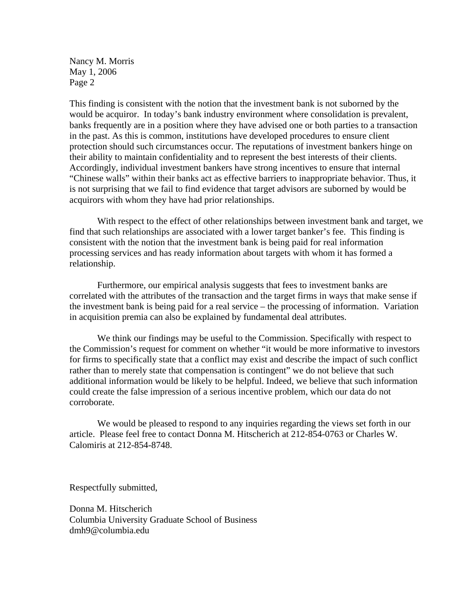Nancy M. Morris May 1, 2006 Page 2

This finding is consistent with the notion that the investment bank is not suborned by the would be acquiror. In today's bank industry environment where consolidation is prevalent, banks frequently are in a position where they have advised one or both parties to a transaction in the past. As this is common, institutions have developed procedures to ensure client protection should such circumstances occur. The reputations of investment bankers hinge on their ability to maintain confidentiality and to represent the best interests of their clients. Accordingly, individual investment bankers have strong incentives to ensure that internal "Chinese walls" within their banks act as effective barriers to inappropriate behavior. Thus, it is not surprising that we fail to find evidence that target advisors are suborned by would be acquirors with whom they have had prior relationships.

With respect to the effect of other relationships between investment bank and target, we find that such relationships are associated with a lower target banker's fee. This finding is consistent with the notion that the investment bank is being paid for real information processing services and has ready information about targets with whom it has formed a relationship.

Furthermore, our empirical analysis suggests that fees to investment banks are correlated with the attributes of the transaction and the target firms in ways that make sense if the investment bank is being paid for a real service – the processing of information. Variation in acquisition premia can also be explained by fundamental deal attributes.

 We think our findings may be useful to the Commission. Specifically with respect to the Commission's request for comment on whether "it would be more informative to investors for firms to specifically state that a conflict may exist and describe the impact of such conflict rather than to merely state that compensation is contingent" we do not believe that such additional information would be likely to be helpful. Indeed, we believe that such information could create the false impression of a serious incentive problem, which our data do not corroborate.

 We would be pleased to respond to any inquiries regarding the views set forth in our article. Please feel free to contact Donna M. Hitscherich at 212-854-0763 or Charles W. Calomiris at 212-854-8748.

Respectfully submitted,

Donna M. Hitscherich Columbia University Graduate School of Business dmh9@columbia.edu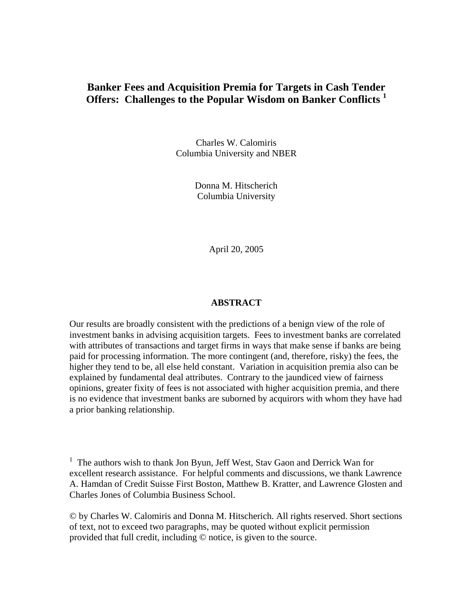# **Banker Fees and Acquisition Premia for Targets in Cash Tender Offers: Challenges to the Popular Wisdom on Banker Conflicts <sup>1</sup>**

Charles W. Calomiris Columbia University and NBER

> Donna M. Hitscherich Columbia University

> > April 20, 2005

#### **ABSTRACT**

Our results are broadly consistent with the predictions of a benign view of the role of investment banks in advising acquisition targets. Fees to investment banks are correlated with attributes of transactions and target firms in ways that make sense if banks are being paid for processing information. The more contingent (and, therefore, risky) the fees, the higher they tend to be, all else held constant. Variation in acquisition premia also can be explained by fundamental deal attributes. Contrary to the jaundiced view of fairness opinions, greater fixity of fees is not associated with higher acquisition premia, and there is no evidence that investment banks are suborned by acquirors with whom they have had a prior banking relationship.

<sup>1</sup> The authors wish to thank Jon Byun, Jeff West, Stav Gaon and Derrick Wan for excellent research assistance. For helpful comments and discussions, we thank Lawrence A. Hamdan of Credit Suisse First Boston, Matthew B. Kratter, and Lawrence Glosten and Charles Jones of Columbia Business School.

© by Charles W. Calomiris and Donna M. Hitscherich. All rights reserved. Short sections of text, not to exceed two paragraphs, may be quoted without explicit permission provided that full credit, including © notice, is given to the source.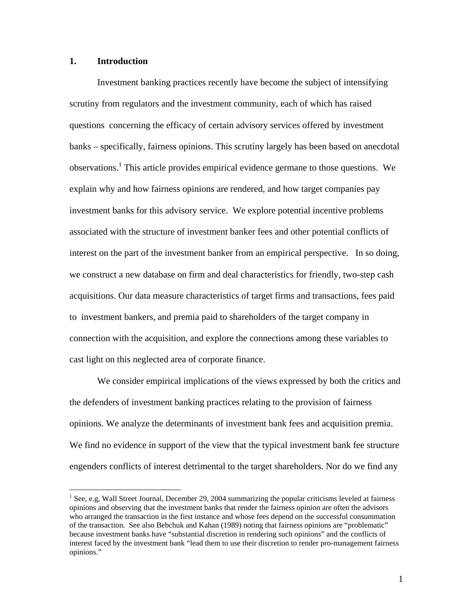# **1. Introduction**

<u>.</u>

 Investment banking practices recently have become the subject of intensifying scrutiny from regulators and the investment community, each of which has raised questions concerning the efficacy of certain advisory services offered by investment banks – specifically, fairness opinions. This scrutiny largely has been based on anecdotal observations.<sup>1</sup> This article provides empirical evidence germane to those questions. We explain why and how fairness opinions are rendered, and how target companies pay investment banks for this advisory service. We explore potential incentive problems associated with the structure of investment banker fees and other potential conflicts of interest on the part of the investment banker from an empirical perspective. In so doing, we construct a new database on firm and deal characteristics for friendly, two-step cash acquisitions. Our data measure characteristics of target firms and transactions, fees paid to investment bankers, and premia paid to shareholders of the target company in connection with the acquisition, and explore the connections among these variables to cast light on this neglected area of corporate finance.

We consider empirical implications of the views expressed by both the critics and the defenders of investment banking practices relating to the provision of fairness opinions. We analyze the determinants of investment bank fees and acquisition premia. We find no evidence in support of the view that the typical investment bank fee structure engenders conflicts of interest detrimental to the target shareholders. Nor do we find any

<sup>&</sup>lt;sup>1</sup> See, e.g, Wall Street Journal, December 29, 2004 summarizing the popular criticisms leveled at fairness opinions and observing that the investment banks that render the fairness opinion are often the advisors who arranged the transaction in the first instance and whose fees depend on the successful consummation of the transaction. See also Bebchuk and Kahan (1989) noting that fairness opinions are "problematic" because investment banks have "substantial discretion in rendering such opinions" and the conflicts of interest faced by the investment bank "lead them to use their discretion to render pro-management fairness opinions."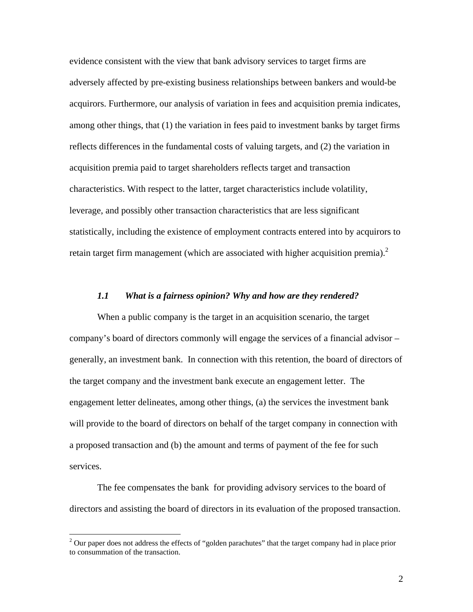evidence consistent with the view that bank advisory services to target firms are adversely affected by pre-existing business relationships between bankers and would-be acquirors. Furthermore, our analysis of variation in fees and acquisition premia indicates, among other things, that (1) the variation in fees paid to investment banks by target firms reflects differences in the fundamental costs of valuing targets, and (2) the variation in acquisition premia paid to target shareholders reflects target and transaction characteristics. With respect to the latter, target characteristics include volatility, leverage, and possibly other transaction characteristics that are less significant statistically, including the existence of employment contracts entered into by acquirors to retain target firm management (which are associated with higher acquisition premia). $^2$ 

#### *1.1 What is a fairness opinion? Why and how are they rendered?*

When a public company is the target in an acquisition scenario, the target company's board of directors commonly will engage the services of a financial advisor – generally, an investment bank. In connection with this retention, the board of directors of the target company and the investment bank execute an engagement letter. The engagement letter delineates, among other things, (a) the services the investment bank will provide to the board of directors on behalf of the target company in connection with a proposed transaction and (b) the amount and terms of payment of the fee for such services.

 The fee compensates the bank for providing advisory services to the board of directors and assisting the board of directors in its evaluation of the proposed transaction.

 $\overline{a}$ 

 $2$  Our paper does not address the effects of "golden parachutes" that the target company had in place prior to consummation of the transaction.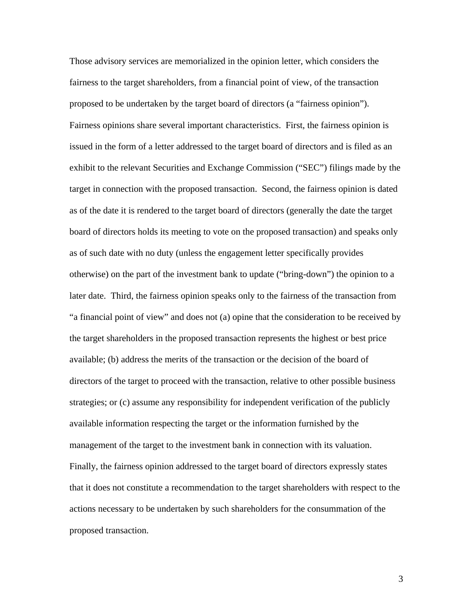Those advisory services are memorialized in the opinion letter, which considers the fairness to the target shareholders, from a financial point of view, of the transaction proposed to be undertaken by the target board of directors (a "fairness opinion"). Fairness opinions share several important characteristics. First, the fairness opinion is issued in the form of a letter addressed to the target board of directors and is filed as an exhibit to the relevant Securities and Exchange Commission ("SEC") filings made by the target in connection with the proposed transaction. Second, the fairness opinion is dated as of the date it is rendered to the target board of directors (generally the date the target board of directors holds its meeting to vote on the proposed transaction) and speaks only as of such date with no duty (unless the engagement letter specifically provides otherwise) on the part of the investment bank to update ("bring-down") the opinion to a later date. Third, the fairness opinion speaks only to the fairness of the transaction from "a financial point of view" and does not (a) opine that the consideration to be received by the target shareholders in the proposed transaction represents the highest or best price available; (b) address the merits of the transaction or the decision of the board of directors of the target to proceed with the transaction, relative to other possible business strategies; or (c) assume any responsibility for independent verification of the publicly available information respecting the target or the information furnished by the management of the target to the investment bank in connection with its valuation. Finally, the fairness opinion addressed to the target board of directors expressly states that it does not constitute a recommendation to the target shareholders with respect to the actions necessary to be undertaken by such shareholders for the consummation of the proposed transaction.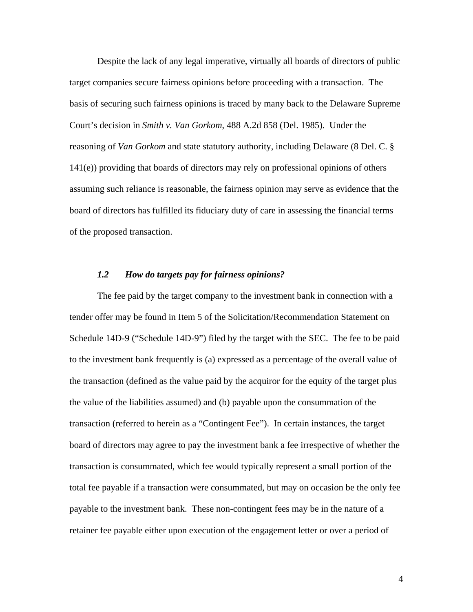Despite the lack of any legal imperative, virtually all boards of directors of public target companies secure fairness opinions before proceeding with a transaction. The basis of securing such fairness opinions is traced by many back to the Delaware Supreme Court's decision in *Smith v. Van Gorkom*, 488 A.2d 858 (Del. 1985). Under the reasoning of *Van Gorkom* and state statutory authority, including Delaware (8 Del. C. § 141(e)) providing that boards of directors may rely on professional opinions of others assuming such reliance is reasonable, the fairness opinion may serve as evidence that the board of directors has fulfilled its fiduciary duty of care in assessing the financial terms of the proposed transaction.

#### *1.2 How do targets pay for fairness opinions?*

 The fee paid by the target company to the investment bank in connection with a tender offer may be found in Item 5 of the Solicitation/Recommendation Statement on Schedule 14D-9 ("Schedule 14D-9") filed by the target with the SEC. The fee to be paid to the investment bank frequently is (a) expressed as a percentage of the overall value of the transaction (defined as the value paid by the acquiror for the equity of the target plus the value of the liabilities assumed) and (b) payable upon the consummation of the transaction (referred to herein as a "Contingent Fee"). In certain instances, the target board of directors may agree to pay the investment bank a fee irrespective of whether the transaction is consummated, which fee would typically represent a small portion of the total fee payable if a transaction were consummated, but may on occasion be the only fee payable to the investment bank. These non-contingent fees may be in the nature of a retainer fee payable either upon execution of the engagement letter or over a period of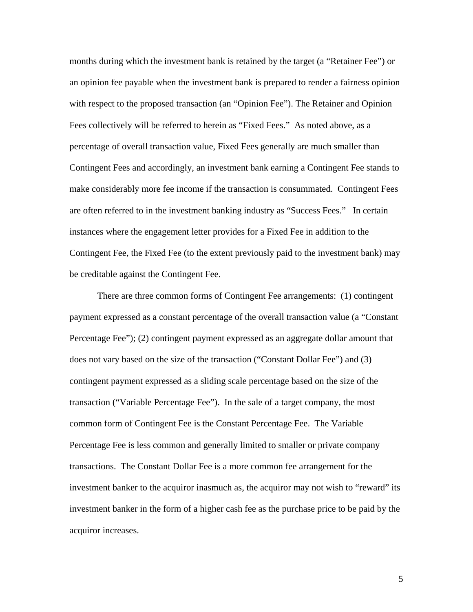months during which the investment bank is retained by the target (a "Retainer Fee") or an opinion fee payable when the investment bank is prepared to render a fairness opinion with respect to the proposed transaction (an "Opinion Fee"). The Retainer and Opinion Fees collectively will be referred to herein as "Fixed Fees." As noted above, as a percentage of overall transaction value, Fixed Fees generally are much smaller than Contingent Fees and accordingly, an investment bank earning a Contingent Fee stands to make considerably more fee income if the transaction is consummated. Contingent Fees are often referred to in the investment banking industry as "Success Fees." In certain instances where the engagement letter provides for a Fixed Fee in addition to the Contingent Fee, the Fixed Fee (to the extent previously paid to the investment bank) may be creditable against the Contingent Fee.

 There are three common forms of Contingent Fee arrangements: (1) contingent payment expressed as a constant percentage of the overall transaction value (a "Constant Percentage Fee"); (2) contingent payment expressed as an aggregate dollar amount that does not vary based on the size of the transaction ("Constant Dollar Fee") and (3) contingent payment expressed as a sliding scale percentage based on the size of the transaction ("Variable Percentage Fee"). In the sale of a target company, the most common form of Contingent Fee is the Constant Percentage Fee. The Variable Percentage Fee is less common and generally limited to smaller or private company transactions. The Constant Dollar Fee is a more common fee arrangement for the investment banker to the acquiror inasmuch as, the acquiror may not wish to "reward" its investment banker in the form of a higher cash fee as the purchase price to be paid by the acquiror increases.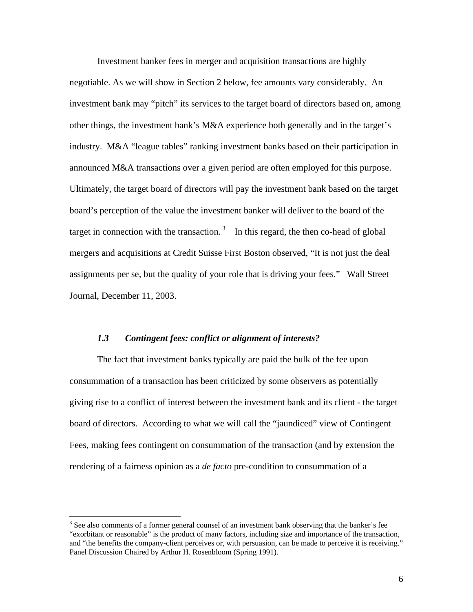Investment banker fees in merger and acquisition transactions are highly negotiable. As we will show in Section 2 below, fee amounts vary considerably. An investment bank may "pitch" its services to the target board of directors based on, among other things, the investment bank's M&A experience both generally and in the target's industry. M&A "league tables" ranking investment banks based on their participation in announced M&A transactions over a given period are often employed for this purpose. Ultimately, the target board of directors will pay the investment bank based on the target board's perception of the value the investment banker will deliver to the board of the target in connection with the transaction.<sup>3</sup> In this regard, the then co-head of global mergers and acquisitions at Credit Suisse First Boston observed, "It is not just the deal assignments per se, but the quality of your role that is driving your fees." Wall Street Journal, December 11, 2003.

#### *1.3 Contingent fees: conflict or alignment of interests?*

 The fact that investment banks typically are paid the bulk of the fee upon consummation of a transaction has been criticized by some observers as potentially giving rise to a conflict of interest between the investment bank and its client - the target board of directors. According to what we will call the "jaundiced" view of Contingent Fees, making fees contingent on consummation of the transaction (and by extension the rendering of a fairness opinion as a *de facto* pre-condition to consummation of a

 $\overline{a}$ 

 $3$  See also comments of a former general counsel of an investment bank observing that the banker's fee "exorbitant or reasonable" is the product of many factors, including size and importance of the transaction, and "the benefits the company-client perceives or, with persuasion, can be made to perceive it is receiving." Panel Discussion Chaired by Arthur H. Rosenbloom (Spring 1991).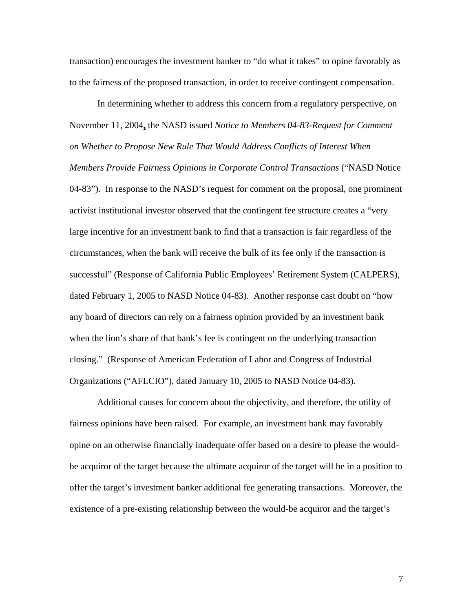transaction) encourages the investment banker to "do what it takes" to opine favorably as to the fairness of the proposed transaction, in order to receive contingent compensation.

In determining whether to address this concern from a regulatory perspective, on November 11, 2004**,** the NASD issued *Notice to Members 04-83-Request for Comment on Whether to Propose New Rule That Would Address Conflicts of Interest When Members Provide Fairness Opinions in Corporate Control Transactions* ("NASD Notice 04-83"). In response to the NASD's request for comment on the proposal, one prominent activist institutional investor observed that the contingent fee structure creates a "very large incentive for an investment bank to find that a transaction is fair regardless of the circumstances, when the bank will receive the bulk of its fee only if the transaction is successful" (Response of California Public Employees' Retirement System (CALPERS), dated February 1, 2005 to NASD Notice 04-83). Another response cast doubt on "how any board of directors can rely on a fairness opinion provided by an investment bank when the lion's share of that bank's fee is contingent on the underlying transaction closing." (Response of American Federation of Labor and Congress of Industrial Organizations ("AFLCIO"), dated January 10, 2005 to NASD Notice 04-83).

Additional causes for concern about the objectivity, and therefore, the utility of fairness opinions have been raised. For example, an investment bank may favorably opine on an otherwise financially inadequate offer based on a desire to please the wouldbe acquiror of the target because the ultimate acquiror of the target will be in a position to offer the target's investment banker additional fee generating transactions. Moreover, the existence of a pre-existing relationship between the would-be acquiror and the target's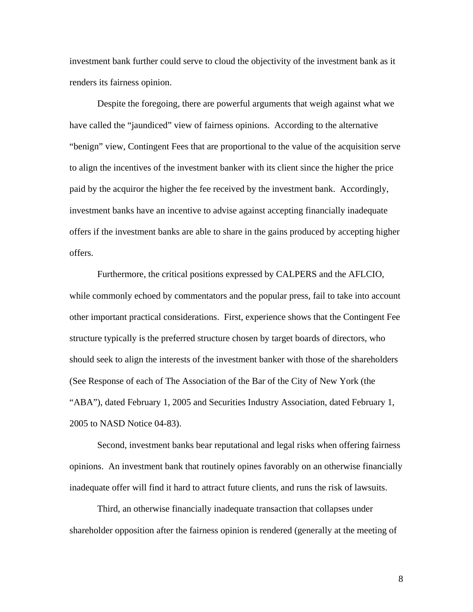investment bank further could serve to cloud the objectivity of the investment bank as it renders its fairness opinion.

Despite the foregoing, there are powerful arguments that weigh against what we have called the "jaundiced" view of fairness opinions. According to the alternative "benign" view, Contingent Fees that are proportional to the value of the acquisition serve to align the incentives of the investment banker with its client since the higher the price paid by the acquiror the higher the fee received by the investment bank. Accordingly, investment banks have an incentive to advise against accepting financially inadequate offers if the investment banks are able to share in the gains produced by accepting higher offers.

Furthermore, the critical positions expressed by CALPERS and the AFLCIO, while commonly echoed by commentators and the popular press, fail to take into account other important practical considerations. First, experience shows that the Contingent Fee structure typically is the preferred structure chosen by target boards of directors, who should seek to align the interests of the investment banker with those of the shareholders (See Response of each of The Association of the Bar of the City of New York (the "ABA"), dated February 1, 2005 and Securities Industry Association, dated February 1, 2005 to NASD Notice 04-83).

Second, investment banks bear reputational and legal risks when offering fairness opinions. An investment bank that routinely opines favorably on an otherwise financially inadequate offer will find it hard to attract future clients, and runs the risk of lawsuits.

Third, an otherwise financially inadequate transaction that collapses under shareholder opposition after the fairness opinion is rendered (generally at the meeting of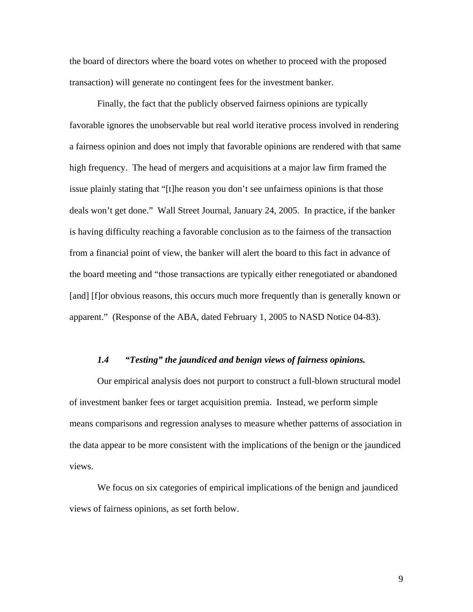the board of directors where the board votes on whether to proceed with the proposed transaction) will generate no contingent fees for the investment banker.

Finally, the fact that the publicly observed fairness opinions are typically favorable ignores the unobservable but real world iterative process involved in rendering a fairness opinion and does not imply that favorable opinions are rendered with that same high frequency. The head of mergers and acquisitions at a major law firm framed the issue plainly stating that "[t]he reason you don't see unfairness opinions is that those deals won't get done." Wall Street Journal, January 24, 2005. In practice, if the banker is having difficulty reaching a favorable conclusion as to the fairness of the transaction from a financial point of view, the banker will alert the board to this fact in advance of the board meeting and "those transactions are typically either renegotiated or abandoned [and] [f]or obvious reasons, this occurs much more frequently than is generally known or apparent." (Response of the ABA, dated February 1, 2005 to NASD Notice 04-83).

#### *1.4 "Testing" the jaundiced and benign views of fairness opinions.*

Our empirical analysis does not purport to construct a full-blown structural model of investment banker fees or target acquisition premia. Instead, we perform simple means comparisons and regression analyses to measure whether patterns of association in the data appear to be more consistent with the implications of the benign or the jaundiced views.

We focus on six categories of empirical implications of the benign and jaundiced views of fairness opinions, as set forth below.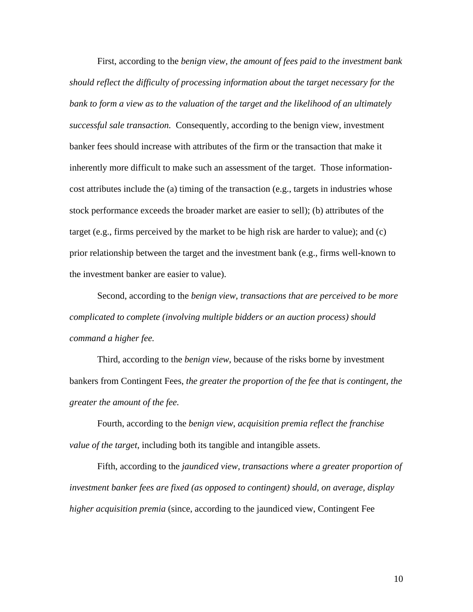First, according to the *benign view, the amount of fees paid to the investment bank should reflect the difficulty of processing information about the target necessary for the bank to form a view as to the valuation of the target and the likelihood of an ultimately successful sale transaction.* Consequently, according to the benign view, investment banker fees should increase with attributes of the firm or the transaction that make it inherently more difficult to make such an assessment of the target. Those informationcost attributes include the (a) timing of the transaction (e.g., targets in industries whose stock performance exceeds the broader market are easier to sell); (b) attributes of the target (e.g., firms perceived by the market to be high risk are harder to value); and (c) prior relationship between the target and the investment bank (e.g., firms well-known to the investment banker are easier to value).

Second, according to the *benign view, transactions that are perceived to be more complicated to complete (involving multiple bidders or an auction process) should command a higher fee.* 

Third, according to the *benign view*, because of the risks borne by investment bankers from Contingent Fees, *the greater the proportion of the fee that is contingent, the greater the amount of the fee.* 

Fourth, according to the *benign view*, *acquisition premia reflect the franchise value of the target*, including both its tangible and intangible assets.

Fifth, according to the *jaundiced view, transactions where a greater proportion of investment banker fees are fixed (as opposed to contingent) should, on average, display higher acquisition premia* (since, according to the jaundiced view, Contingent Fee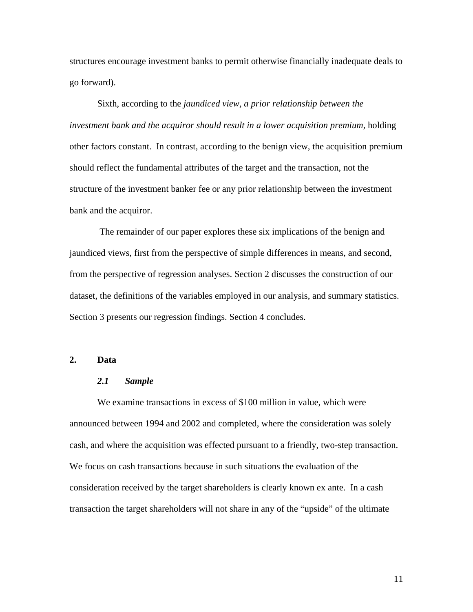structures encourage investment banks to permit otherwise financially inadequate deals to go forward).

Sixth, according to the *jaundiced view, a prior relationship between the investment bank and the acquiror should result in a lower acquisition premium,* holding other factors constant. In contrast, according to the benign view, the acquisition premium should reflect the fundamental attributes of the target and the transaction, not the structure of the investment banker fee or any prior relationship between the investment bank and the acquiror.

 The remainder of our paper explores these six implications of the benign and jaundiced views, first from the perspective of simple differences in means, and second, from the perspective of regression analyses. Section 2 discusses the construction of our dataset, the definitions of the variables employed in our analysis, and summary statistics. Section 3 presents our regression findings. Section 4 concludes.

# **2. Data**

#### *2.1 Sample*

We examine transactions in excess of \$100 million in value, which were announced between 1994 and 2002 and completed, where the consideration was solely cash, and where the acquisition was effected pursuant to a friendly, two-step transaction. We focus on cash transactions because in such situations the evaluation of the consideration received by the target shareholders is clearly known ex ante. In a cash transaction the target shareholders will not share in any of the "upside" of the ultimate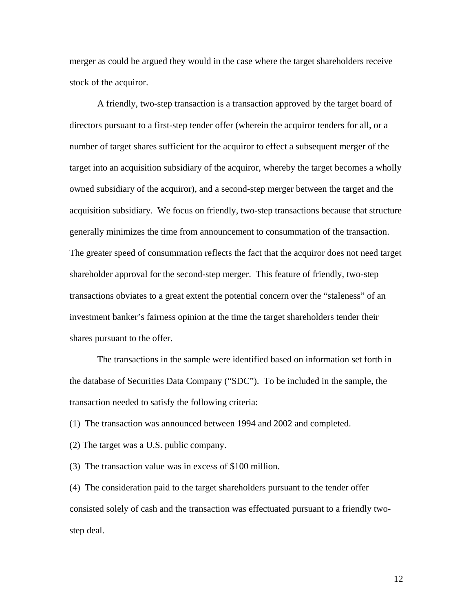merger as could be argued they would in the case where the target shareholders receive stock of the acquiror.

A friendly, two-step transaction is a transaction approved by the target board of directors pursuant to a first-step tender offer (wherein the acquiror tenders for all, or a number of target shares sufficient for the acquiror to effect a subsequent merger of the target into an acquisition subsidiary of the acquiror, whereby the target becomes a wholly owned subsidiary of the acquiror), and a second-step merger between the target and the acquisition subsidiary. We focus on friendly, two-step transactions because that structure generally minimizes the time from announcement to consummation of the transaction. The greater speed of consummation reflects the fact that the acquiror does not need target shareholder approval for the second-step merger. This feature of friendly, two-step transactions obviates to a great extent the potential concern over the "staleness" of an investment banker's fairness opinion at the time the target shareholders tender their shares pursuant to the offer.

 The transactions in the sample were identified based on information set forth in the database of Securities Data Company ("SDC"). To be included in the sample, the transaction needed to satisfy the following criteria:

(1) The transaction was announced between 1994 and 2002 and completed.

(2) The target was a U.S. public company.

(3) The transaction value was in excess of \$100 million.

(4) The consideration paid to the target shareholders pursuant to the tender offer consisted solely of cash and the transaction was effectuated pursuant to a friendly twostep deal.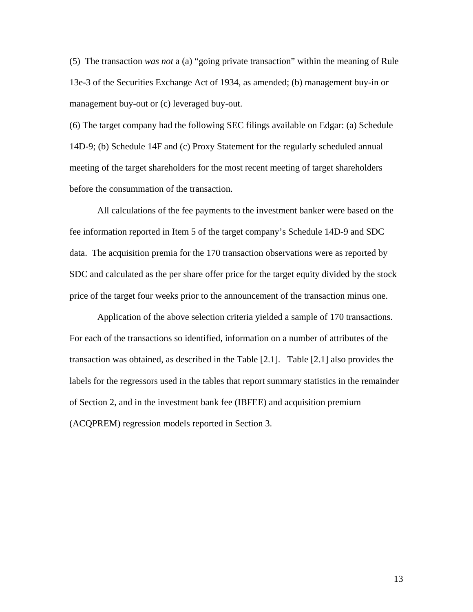(5) The transaction *was not* a (a) "going private transaction" within the meaning of Rule 13e-3 of the Securities Exchange Act of 1934, as amended; (b) management buy-in or management buy-out or (c) leveraged buy-out.

(6) The target company had the following SEC filings available on Edgar: (a) Schedule 14D-9; (b) Schedule 14F and (c) Proxy Statement for the regularly scheduled annual meeting of the target shareholders for the most recent meeting of target shareholders before the consummation of the transaction.

All calculations of the fee payments to the investment banker were based on the fee information reported in Item 5 of the target company's Schedule 14D-9 and SDC data. The acquisition premia for the 170 transaction observations were as reported by SDC and calculated as the per share offer price for the target equity divided by the stock price of the target four weeks prior to the announcement of the transaction minus one.

 Application of the above selection criteria yielded a sample of 170 transactions. For each of the transactions so identified, information on a number of attributes of the transaction was obtained, as described in the Table [2.1]. Table [2.1] also provides the labels for the regressors used in the tables that report summary statistics in the remainder of Section 2, and in the investment bank fee (IBFEE) and acquisition premium (ACQPREM) regression models reported in Section 3.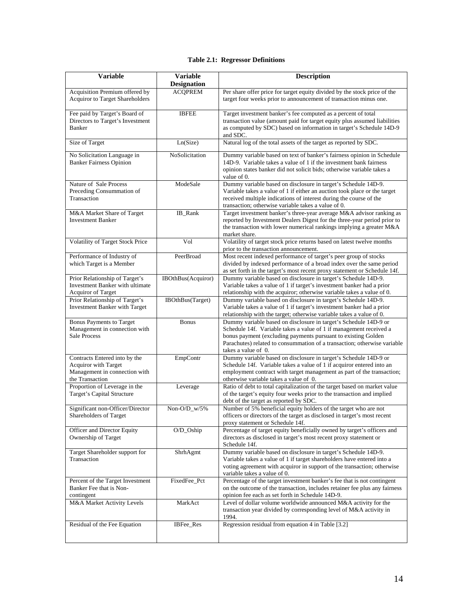#### **Table 2.1: Regressor Definitions**

| <b>Variable</b>                                                                                           | <b>Variable</b><br><b>Designation</b> | <b>Description</b>                                                                                                                                                                                                                                                                                         |
|-----------------------------------------------------------------------------------------------------------|---------------------------------------|------------------------------------------------------------------------------------------------------------------------------------------------------------------------------------------------------------------------------------------------------------------------------------------------------------|
| Acquisition Premium offered by<br><b>Acquiror to Target Shareholders</b>                                  | <b>ACQPREM</b>                        | Per share offer price for target equity divided by the stock price of the<br>target four weeks prior to announcement of transaction minus one.                                                                                                                                                             |
| Fee paid by Target's Board of<br>Directors to Target's Investment<br><b>Banker</b>                        | <b>IBFEE</b>                          | Target investment banker's fee computed as a percent of total<br>transaction value (amount paid for target equity plus assumed liabilities<br>as computed by SDC) based on information in target's Schedule 14D-9<br>and SDC.                                                                              |
| Size of Target                                                                                            | Ln(Size)                              | Natural log of the total assets of the target as reported by SDC.                                                                                                                                                                                                                                          |
| No Solicitation Language in<br><b>Banker Fairness Opinion</b>                                             | NoSolicitation                        | Dummy variable based on text of banker's fairness opinion in Schedule<br>14D-9. Variable takes a value of 1 if the investment bank fairness<br>opinion states banker did not solicit bids; otherwise variable takes a<br>value of 0.                                                                       |
| Nature of Sale Process<br>Preceding Consummation of<br>Transaction                                        | ModeSale                              | Dummy variable based on disclosure in target's Schedule 14D-9.<br>Variable takes a value of 1 if either an auction took place or the target<br>received multiple indications of interest during the course of the<br>transaction; otherwise variable takes a value of 0.                                   |
| M&A Market Share of Target<br><b>Investment Banker</b>                                                    | IB_Rank                               | Target investment banker's three-year average M&A advisor ranking as<br>reported by Investment Dealers Digest for the three-year period prior to<br>the transaction with lower numerical rankings implying a greater M&A<br>market share.                                                                  |
| Volatility of Target Stock Price                                                                          | Vol                                   | Volatility of target stock price returns based on latest twelve months<br>prior to the transaction announcement.                                                                                                                                                                                           |
| Performance of Industry of<br>which Target is a Member                                                    | PeerBroad                             | Most recent indexed performance of target's peer group of stocks<br>divided by indexed performance of a broad index over the same period<br>as set forth in the target's most recent proxy statement or Schedule 14f.                                                                                      |
| Prior Relationship of Target's<br>Investment Banker with ultimate<br><b>Acquiror of Target</b>            | IBOthBus(Acquiror)                    | Dummy variable based on disclosure in target's Schedule 14D-9.<br>Variable takes a value of 1 if target's investment banker had a prior<br>relationship with the acquiror; otherwise variable takes a value of 0.                                                                                          |
| Prior Relationship of Target's<br>Investment Banker with Target                                           | IBOthBus(Target)                      | Dummy variable based on disclosure in target's Schedule 14D-9.<br>Variable takes a value of 1 if target's investment banker had a prior<br>relationship with the target; otherwise variable takes a value of 0.                                                                                            |
| <b>Bonus Payments to Target</b><br>Management in connection with<br><b>Sale Process</b>                   | <b>Bonus</b>                          | Dummy variable based on disclosure in target's Schedule 14D-9 or<br>Schedule 14f. Variable takes a value of 1 if management received a<br>bonus payment (excluding payments pursuant to existing Golden<br>Parachutes) related to consummation of a transaction; otherwise variable<br>takes a value of 0. |
| Contracts Entered into by the<br>Acquiror with Target<br>Management in connection with<br>the Transaction | EmpContr                              | Dummy variable based on disclosure in target's Schedule 14D-9 or<br>Schedule 14f. Variable takes a value of 1 if acquiror entered into an<br>employment contract with target management as part of the transaction;<br>otherwise variable takes a value of 0.                                              |
| Proportion of Leverage in the<br>Target's Capital Structure                                               | Leverage                              | Ratio of debt to total capitalization of the target based on market value<br>of the target's equity four weeks prior to the transaction and implied<br>debt of the target as reported by SDC.                                                                                                              |
| Significant non-Officer/Director<br>Shareholders of Target                                                | Non-O/D w/5%                          | Number of 5% beneficial equity holders of the target who are not<br>officers or directors of the target as disclosed in target's most recent<br>proxy statement or Schedule 14f.                                                                                                                           |
| Officer and Director Equity<br>Ownership of Target                                                        | O/D_Oship                             | Percentage of target equity beneficially owned by target's officers and<br>directors as disclosed in target's most recent proxy statement or<br>Schedule 14f.                                                                                                                                              |
| Target Shareholder support for<br>Transaction                                                             | ShrhAgmt                              | Dummy variable based on disclosure in target's Schedule 14D-9.<br>Variable takes a value of 1 if target shareholders have entered into a<br>voting agreement with acquiror in support of the transaction; otherwise<br>variable takes a value of 0.                                                        |
| Percent of the Target Investment<br>Banker Fee that is Non-<br>contingent                                 | FixedFee_Pct                          | Percentage of the target investment banker's fee that is not contingent<br>on the outcome of the transaction, includes retainer fee plus any fairness<br>opinion fee each as set forth in Schedule 14D-9.                                                                                                  |
| M&A Market Activity Levels                                                                                | MarkAct                               | Level of dollar volume worldwide announced M&A activity for the<br>transaction year divided by corresponding level of M&A activity in<br>1994.                                                                                                                                                             |
| Residual of the Fee Equation                                                                              | IBFee_Res                             | Regression residual from equation 4 in Table [3.2]                                                                                                                                                                                                                                                         |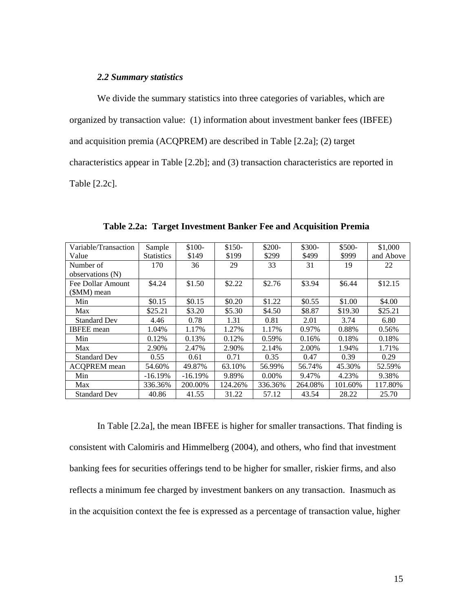## *2.2 Summary statistics*

 We divide the summary statistics into three categories of variables, which are organized by transaction value: (1) information about investment banker fees (IBFEE) and acquisition premia (ACQPREM) are described in Table [2.2a]; (2) target characteristics appear in Table [2.2b]; and (3) transaction characteristics are reported in Table [2.2c].

| Variable/Transaction | Sample            | $$100-$   | $$150-$ | \$200-   | \$300-  | \$500-  | \$1,000   |
|----------------------|-------------------|-----------|---------|----------|---------|---------|-----------|
| Value                | <b>Statistics</b> | \$149     | \$199   | \$299    | \$499   | \$999   | and Above |
| Number of            | 170               | 36        | 29      | 33       | 31      | 19      | 22        |
| observations (N)     |                   |           |         |          |         |         |           |
| Fee Dollar Amount    | \$4.24            | \$1.50    | \$2.22  | \$2.76   | \$3.94  | \$6.44  | \$12.15   |
| $(SMM)$ mean         |                   |           |         |          |         |         |           |
| Min                  | \$0.15            | \$0.15    | \$0.20  | \$1.22   | \$0.55  | \$1.00  | \$4.00    |
| Max                  | \$25.21           | \$3.20    | \$5.30  | \$4.50   | \$8.87  | \$19.30 | \$25.21   |
| <b>Standard Dev</b>  | 4.46              | 0.78      | 1.31    | 0.81     | 2.01    | 3.74    | 6.80      |
| <b>IBFEE</b> mean    | 1.04%             | 1.17%     | 1.27%   | 1.17%    | 0.97%   | 0.88%   | 0.56%     |
| Min                  | 0.12%             | 0.13%     | 0.12%   | 0.59%    | 0.16%   | 0.18%   | 0.18%     |
| Max                  | 2.90%             | 2.47%     | 2.90%   | 2.14%    | 2.00%   | 1.94%   | 1.71%     |
| <b>Standard Dev</b>  | 0.55              | 0.61      | 0.71    | 0.35     | 0.47    | 0.39    | 0.29      |
| <b>ACOPREM</b> mean  | 54.60%            | 49.87%    | 63.10%  | 56.99%   | 56.74%  | 45.30%  | 52.59%    |
| Min                  | $-16.19%$         | $-16.19%$ | 9.89%   | $0.00\%$ | 9.47%   | 4.23%   | 9.38%     |
| Max                  | 336.36%           | 200.00%   | 124.26% | 336.36%  | 264.08% | 101.60% | 117.80%   |
| <b>Standard Dev</b>  | 40.86             | 41.55     | 31.22   | 57.12    | 43.54   | 28.22   | 25.70     |

**Table 2.2a: Target Investment Banker Fee and Acquisition Premia** 

In Table [2.2a], the mean IBFEE is higher for smaller transactions. That finding is consistent with Calomiris and Himmelberg (2004), and others, who find that investment banking fees for securities offerings tend to be higher for smaller, riskier firms, and also reflects a minimum fee charged by investment bankers on any transaction. Inasmuch as in the acquisition context the fee is expressed as a percentage of transaction value, higher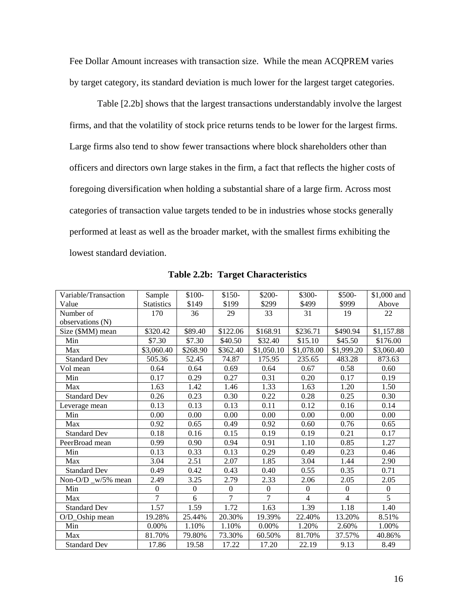Fee Dollar Amount increases with transaction size. While the mean ACQPREM varies by target category, its standard deviation is much lower for the largest target categories.

Table [2.2b] shows that the largest transactions understandably involve the largest firms, and that the volatility of stock price returns tends to be lower for the largest firms. Large firms also tend to show fewer transactions where block shareholders other than officers and directors own large stakes in the firm, a fact that reflects the higher costs of foregoing diversification when holding a substantial share of a large firm. Across most categories of transaction value targets tended to be in industries whose stocks generally performed at least as well as the broader market, with the smallest firms exhibiting the lowest standard deviation.

| Variable/Transaction | Sample            | \$100-           | $$150-$        | \$200-         | \$300-           | \$500-         | \$1,000 and    |
|----------------------|-------------------|------------------|----------------|----------------|------------------|----------------|----------------|
| Value                | <b>Statistics</b> | \$149            | \$199          | \$299          | \$499            | \$999          | Above          |
| Number of            | 170               | 36               | 29             | 33             | 31               | 19             | 22             |
| observations (N)     |                   |                  |                |                |                  |                |                |
| Size (\$MM) mean     | \$320.42          | \$89.40          | \$122.06       | \$168.91       | \$236.71         | \$490.94       | \$1,157.88     |
| Min                  | \$7.30            | \$7.30           | \$40.50        | \$32.40        | \$15.10          | \$45.50        | \$176.00       |
| Max                  | \$3,060.40        | \$268.90         | \$362.40       | \$1,050.10     | \$1,078.00       | \$1,999.20     | \$3,060.40     |
| <b>Standard Dev</b>  | 505.36            | 52.45            | 74.87          | 175.95         | 235.65           | 483.28         | 873.63         |
| Vol mean             | 0.64              | 0.64             | 0.69           | 0.64           | 0.67             | 0.58           | 0.60           |
| Min                  | 0.17              | 0.29             | 0.27           | 0.31           | 0.20             | 0.17           | 0.19           |
| Max                  | 1.63              | 1.42             | 1.46           | 1.33           | 1.63             | 1.20           | 1.50           |
| <b>Standard Dev</b>  | 0.26              | 0.23             | 0.30           | 0.22           | 0.28             | 0.25           | 0.30           |
| Leverage mean        | 0.13              | 0.13             | 0.13           | 0.11           | 0.12             | 0.16           | 0.14           |
| Min                  | 0.00              | 0.00             | 0.00           | 0.00           | 0.00             | 0.00           | 0.00           |
| Max                  | 0.92              | 0.65             | 0.49           | 0.92           | 0.60             | 0.76           | 0.65           |
| <b>Standard Dev</b>  | 0.18              | 0.16             | 0.15           | 0.19           | 0.19             | 0.21           | 0.17           |
| PeerBroad mean       | 0.99              | 0.90             | 0.94           | 0.91           | 1.10             | 0.85           | 1.27           |
| Min                  | 0.13              | 0.33             | 0.13           | 0.29           | 0.49             | 0.23           | 0.46           |
| Max                  | 3.04              | 2.51             | 2.07           | 1.85           | 3.04             | 1.44           | 2.90           |
| <b>Standard Dev</b>  | 0.49              | 0.42             | 0.43           | 0.40           | 0.55             | 0.35           | 0.71           |
| Non-O/D _w/5% mean   | 2.49              | 3.25             | 2.79           | 2.33           | 2.06             | 2.05           | 2.05           |
| Min                  | $\theta$          | $\boldsymbol{0}$ | $\Omega$       | $\Omega$       | $\boldsymbol{0}$ | $\overline{0}$ | $\overline{0}$ |
| Max                  | $\overline{7}$    | 6                | $\overline{7}$ | $\overline{7}$ | $\overline{4}$   | $\overline{4}$ | $\overline{5}$ |
| <b>Standard Dev</b>  | 1.57              | 1.59             | 1.72           | 1.63           | 1.39             | 1.18           | 1.40           |
| O/D_Oship mean       | 19.28%            | 25.44%           | 20.30%         | 19.39%         | 22.40%           | 13.20%         | 8.51%          |
| Min                  | 0.00%             | 1.10%            | 1.10%          | $0.00\%$       | 1.20%            | 2.60%          | 1.00%          |
| Max                  | 81.70%            | 79.80%           | 73.30%         | 60.50%         | 81.70%           | 37.57%         | 40.86%         |
| <b>Standard Dev</b>  | 17.86             | 19.58            | 17.22          | 17.20          | 22.19            | 9.13           | 8.49           |

**Table 2.2b: Target Characteristics**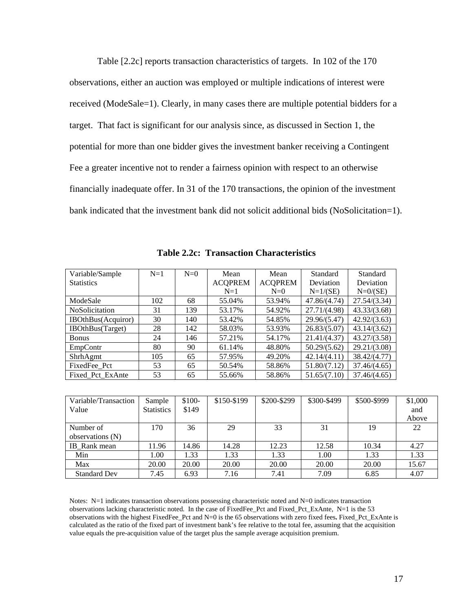Table [2.2c] reports transaction characteristics of targets. In 102 of the 170 observations, either an auction was employed or multiple indications of interest were received (ModeSale=1). Clearly, in many cases there are multiple potential bidders for a target. That fact is significant for our analysis since, as discussed in Section 1, the potential for more than one bidder gives the investment banker receiving a Contingent Fee a greater incentive not to render a fairness opinion with respect to an otherwise financially inadequate offer. In 31 of the 170 transactions, the opinion of the investment bank indicated that the investment bank did not solicit additional bids (NoSolicitation=1).

| Variable/Sample            | $N=1$ | $N=0$ | Mean           | Mean           | Standard     | Standard     |
|----------------------------|-------|-------|----------------|----------------|--------------|--------------|
| <b>Statistics</b>          |       |       | <b>ACQPREM</b> | <b>ACQPREM</b> | Deviation    | Deviation    |
|                            |       |       | $N=1$          | $N=0$          | $N=1/(SE)$   | $N=0/(SE)$   |
| ModeSale                   | 102   | 68    | 55.04%         | 53.94%         | 47.86/(4.74) | 27.54/(3.34) |
| NoSolicitation             | 31    | 139   | 53.17%         | 54.92%         | 27.71/(4.98) | 43.33/(3.68) |
| <b>IBOthBus</b> (Acquiror) | 30    | 140   | 53.42%         | 54.85%         | 29.96/(5.47) | 42.92/(3.63) |
| <b>IBOthBus(Target)</b>    | 28    | 142   | 58.03%         | 53.93%         | 26.83/(5.07) | 43.14/(3.62) |
| <b>Bonus</b>               | 24    | 146   | 57.21%         | 54.17%         | 21.41/(4.37) | 43.27/(3.58) |
| EmpContr                   | 80    | 90    | 61.14%         | 48.80%         | 50.29/(5.62) | 29.21/(3.08) |
| ShrhAgmt                   | 105   | 65    | 57.95%         | 49.20%         | 42.14/(4.11) | 38.42/(4.77) |
| FixedFee_Pct               | 53    | 65    | 50.54%         | 58.86%         | 51.80/(7.12) | 37.46/(4.65) |
| Fixed Pct ExAnte           | 53    | 65    | 55.66%         | 58.86%         | 51.65/(7.10) | 37.46/(4.65) |

|  |  | <b>Table 2.2c: Transaction Characteristics</b> |
|--|--|------------------------------------------------|
|--|--|------------------------------------------------|

| Variable/Transaction<br>Value | Sample<br><b>Statistics</b> | $$100-$<br>\$149 | \$150-\$199 | \$200-\$299 | \$300-\$499 | \$500-\$999 | \$1,000<br>and |
|-------------------------------|-----------------------------|------------------|-------------|-------------|-------------|-------------|----------------|
|                               |                             |                  |             |             |             |             | Above          |
| Number of                     | 170                         | 36               | 29          | 33          | 31          | 19          | 22             |
| observations (N)              |                             |                  |             |             |             |             |                |
| IB Rank mean                  | 11.96                       | 14.86            | 14.28       | 12.23       | 12.58       | 10.34       | 4.27           |
| Min                           | 1.00                        | 1.33             | 1.33        | 1.33        | 1.00        | 1.33        | 1.33           |
| Max                           | 20.00                       | 20.00            | 20.00       | 20.00       | 20.00       | 20.00       | 15.67          |
| <b>Standard Dev</b>           | 7.45                        | 6.93             | 7.16        | 7.41        | 7.09        | 6.85        | 4.07           |

Notes: N=1 indicates transaction observations possessing characteristic noted and N=0 indicates transaction observations lacking characteristic noted. In the case of FixedFee\_Pct and Fixed\_Pct\_ExAnte, N=1 is the 53 observations with the highest FixedFee\_Pct and N=0 is the 65 observations with zero fixed fees**.** Fixed\_Pct\_ExAnte is calculated as the ratio of the fixed part of investment bank's fee relative to the total fee, assuming that the acquisition value equals the pre-acquisition value of the target plus the sample average acquisition premium.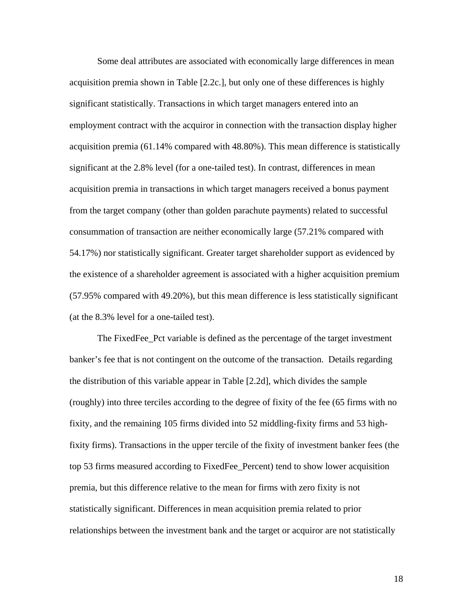Some deal attributes are associated with economically large differences in mean acquisition premia shown in Table [2.2c.], but only one of these differences is highly significant statistically. Transactions in which target managers entered into an employment contract with the acquiror in connection with the transaction display higher acquisition premia (61.14% compared with 48.80%). This mean difference is statistically significant at the 2.8% level (for a one-tailed test). In contrast, differences in mean acquisition premia in transactions in which target managers received a bonus payment from the target company (other than golden parachute payments) related to successful consummation of transaction are neither economically large (57.21% compared with 54.17%) nor statistically significant. Greater target shareholder support as evidenced by the existence of a shareholder agreement is associated with a higher acquisition premium (57.95% compared with 49.20%), but this mean difference is less statistically significant (at the 8.3% level for a one-tailed test).

The FixedFee\_Pct variable is defined as the percentage of the target investment banker's fee that is not contingent on the outcome of the transaction. Details regarding the distribution of this variable appear in Table [2.2d], which divides the sample (roughly) into three terciles according to the degree of fixity of the fee (65 firms with no fixity, and the remaining 105 firms divided into 52 middling-fixity firms and 53 highfixity firms). Transactions in the upper tercile of the fixity of investment banker fees (the top 53 firms measured according to FixedFee\_Percent) tend to show lower acquisition premia, but this difference relative to the mean for firms with zero fixity is not statistically significant. Differences in mean acquisition premia related to prior relationships between the investment bank and the target or acquiror are not statistically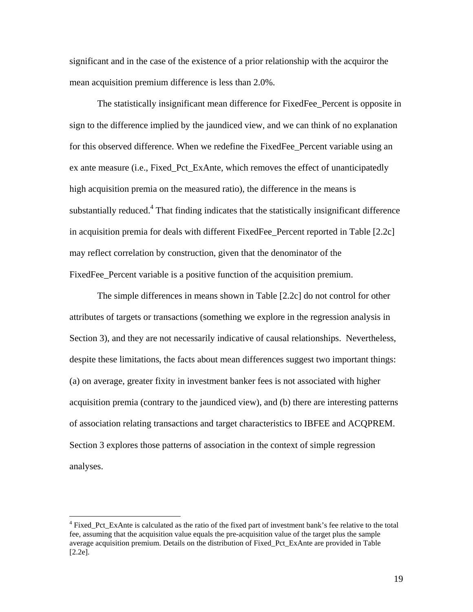significant and in the case of the existence of a prior relationship with the acquiror the mean acquisition premium difference is less than 2.0%.

The statistically insignificant mean difference for FixedFee\_Percent is opposite in sign to the difference implied by the jaundiced view, and we can think of no explanation for this observed difference. When we redefine the FixedFee\_Percent variable using an ex ante measure (i.e., Fixed\_Pct\_ExAnte, which removes the effect of unanticipatedly high acquisition premia on the measured ratio), the difference in the means is substantially reduced.<sup>4</sup> That finding indicates that the statistically insignificant difference in acquisition premia for deals with different FixedFee\_Percent reported in Table [2.2c] may reflect correlation by construction, given that the denominator of the FixedFee\_Percent variable is a positive function of the acquisition premium.

The simple differences in means shown in Table [2.2c] do not control for other attributes of targets or transactions (something we explore in the regression analysis in Section 3), and they are not necessarily indicative of causal relationships. Nevertheless, despite these limitations, the facts about mean differences suggest two important things: (a) on average, greater fixity in investment banker fees is not associated with higher acquisition premia (contrary to the jaundiced view), and (b) there are interesting patterns of association relating transactions and target characteristics to IBFEE and ACQPREM. Section 3 explores those patterns of association in the context of simple regression analyses.

 $\overline{a}$ 

<sup>&</sup>lt;sup>4</sup> Fixed\_Pct\_ExAnte is calculated as the ratio of the fixed part of investment bank's fee relative to the total fee, assuming that the acquisition value equals the pre-acquisition value of the target plus the sample average acquisition premium. Details on the distribution of Fixed\_Pct\_ExAnte are provided in Table [2.2e].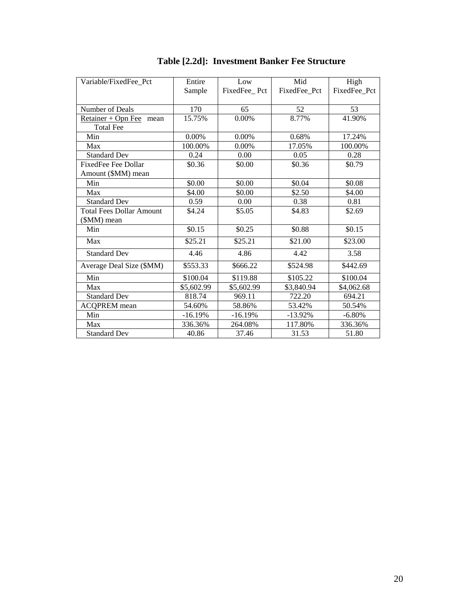| Variable/FixedFee Pct           | Entire     | Low          | Mid          | High         |
|---------------------------------|------------|--------------|--------------|--------------|
|                                 | Sample     | FixedFee Pct | FixedFee Pct | FixedFee Pct |
|                                 |            |              |              |              |
| Number of Deals                 | 170        | 65           | 52           | 53           |
| $Retainer + Opn$ Fee<br>mean    | 15.75%     | 0.00%        | 8.77%        | 41.90%       |
| <b>Total Fee</b>                |            |              |              |              |
| Min                             | $0.00\%$   | $0.00\%$     | 0.68%        | 17.24%       |
| Max                             | 100.00%    | $0.00\%$     | 17.05%       | 100.00%      |
| <b>Standard Dev</b>             | 0.24       | 0.00         | 0.05         | 0.28         |
| <b>FixedFee Fee Dollar</b>      | \$0.36     | \$0.00       | \$0.36       | \$0.79       |
| Amount (\$MM) mean              |            |              |              |              |
| Min                             | \$0.00     | \$0.00       | \$0.04       | \$0.08       |
| Max                             | \$4.00     | \$0.00       | \$2.50       | \$4.00       |
| <b>Standard Dev</b>             | 0.59       | 0.00         | 0.38         | 0.81         |
| <b>Total Fees Dollar Amount</b> | \$4.24     | \$5.05       | \$4.83       | \$2.69       |
| (\$MM) mean                     |            |              |              |              |
| Min                             | \$0.15     | \$0.25       | \$0.88       | \$0.15       |
| Max                             | \$25.21    | \$25.21      | \$21.00      | \$23.00      |
| <b>Standard Dev</b>             | 4.46       | 4.86         | 4.42         | 3.58         |
| Average Deal Size (\$MM)        | \$553.33   | \$666.22     | \$524.98     | \$442.69     |
| Min                             | \$100.04   | \$119.88     | \$105.22     | \$100.04     |
| Max                             | \$5,602.99 | \$5,602.99   | \$3,840.94   | \$4,062.68   |
| <b>Standard Dev</b>             | 818.74     | 969.11       | 722.20       | 694.21       |
| <b>ACQPREM</b> mean             | 54.60%     | 58.86%       | 53.42%       | 50.54%       |
| Min                             | $-16.19%$  | $-16.19%$    | $-13.92%$    | $-6.80%$     |
| Max                             | 336.36%    | 264.08%      | 117.80%      | 336.36%      |
| <b>Standard Dev</b>             | 40.86      | 37.46        | 31.53        | 51.80        |

# **Table [2.2d]: Investment Banker Fee Structure**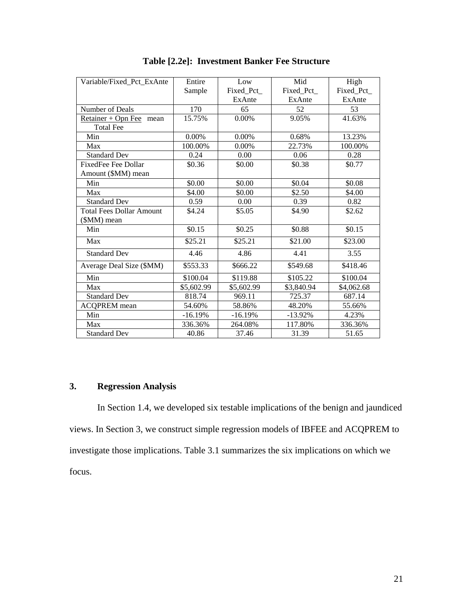| Variable/Fixed Pct ExAnte       | Entire     | Low        | Mid        | High       |
|---------------------------------|------------|------------|------------|------------|
|                                 | Sample     | Fixed Pct  | Fixed_Pct_ | Fixed Pct  |
|                                 |            | ExAnte     | ExAnte     | ExAnte     |
| Number of Deals                 | 170        | 65         | 52         | 53         |
| $Retainer + Opn$ Fee<br>mean    | 15.75%     | 0.00%      | 9.05%      | 41.63%     |
| <b>Total Fee</b>                |            |            |            |            |
| Min                             | 0.00%      | $0.00\%$   | 0.68%      | 13.23%     |
| Max                             | 100.00%    | $0.00\%$   | 22.73%     | 100.00%    |
| <b>Standard Dev</b>             | 0.24       | 0.00       | 0.06       | 0.28       |
| <b>FixedFee Fee Dollar</b>      | \$0.36     | \$0.00     | \$0.38     | \$0.77     |
| Amount (\$MM) mean              |            |            |            |            |
| Min                             | \$0.00     | \$0.00     | \$0.04     | \$0.08     |
| Max                             | \$4.00     | \$0.00     | \$2.50     | \$4.00     |
| <b>Standard Dev</b>             | 0.59       | 0.00       | 0.39       | 0.82       |
| <b>Total Fees Dollar Amount</b> | \$4.24     | \$5.05     | \$4.90     | \$2.62     |
| (\$MM) mean                     |            |            |            |            |
| Min                             | \$0.15     | \$0.25     | \$0.88     | \$0.15     |
| Max                             | \$25.21    | \$25.21    | \$21.00    | \$23.00    |
| <b>Standard Dev</b>             | 4.46       | 4.86       | 4.41       | 3.55       |
| Average Deal Size (\$MM)        | \$553.33   | \$666.22   | \$549.68   | \$418.46   |
| Min                             | \$100.04   | \$119.88   | \$105.22   | \$100.04   |
| Max                             | \$5,602.99 | \$5,602.99 | \$3,840.94 | \$4,062.68 |
| <b>Standard Dev</b>             | 818.74     | 969.11     | 725.37     | 687.14     |
| <b>ACQPREM</b> mean             | 54.60%     | 58.86%     | 48.20%     | 55.66%     |
| Min                             | $-16.19%$  | $-16.19%$  | $-13.92%$  | 4.23%      |
| Max                             | 336.36%    | 264.08%    | 117.80%    | 336.36%    |
| <b>Standard Dev</b>             | 40.86      | 37.46      | 31.39      | 51.65      |

**Table [2.2e]: Investment Banker Fee Structure** 

# **3. Regression Analysis**

In Section 1.4, we developed six testable implications of the benign and jaundiced views. In Section 3, we construct simple regression models of IBFEE and ACQPREM to investigate those implications. Table 3.1 summarizes the six implications on which we focus.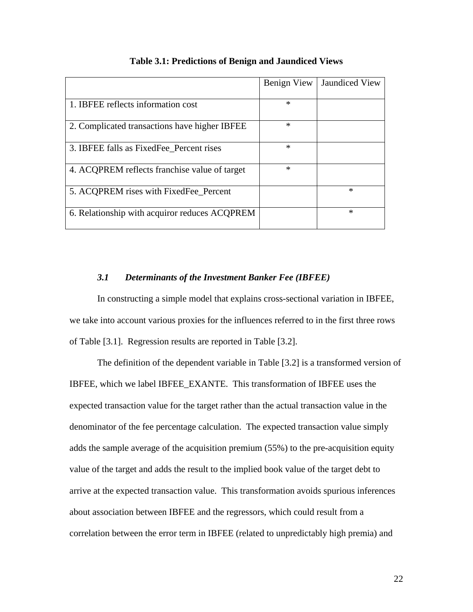|                                               | Benign View | <b>Jaundiced View</b> |
|-----------------------------------------------|-------------|-----------------------|
| 1. IBFEE reflects information cost            | $\ast$      |                       |
| 2. Complicated transactions have higher IBFEE | $\ast$      |                       |
| 3. IBFEE falls as Fixed Fee Percent rises     | ∗           |                       |
| 4. ACQPREM reflects franchise value of target | $\ast$      |                       |
| 5. ACQPREM rises with FixedFee_Percent        |             | $\ast$                |
| 6. Relationship with acquiror reduces ACQPREM |             | $\ast$                |

### **Table 3.1: Predictions of Benign and Jaundiced Views**

# *3.1 Determinants of the Investment Banker Fee (IBFEE)*

 In constructing a simple model that explains cross-sectional variation in IBFEE, we take into account various proxies for the influences referred to in the first three rows of Table [3.1]. Regression results are reported in Table [3.2].

 The definition of the dependent variable in Table [3.2] is a transformed version of IBFEE, which we label IBFEE\_EXANTE. This transformation of IBFEE uses the expected transaction value for the target rather than the actual transaction value in the denominator of the fee percentage calculation. The expected transaction value simply adds the sample average of the acquisition premium (55%) to the pre-acquisition equity value of the target and adds the result to the implied book value of the target debt to arrive at the expected transaction value. This transformation avoids spurious inferences about association between IBFEE and the regressors, which could result from a correlation between the error term in IBFEE (related to unpredictably high premia) and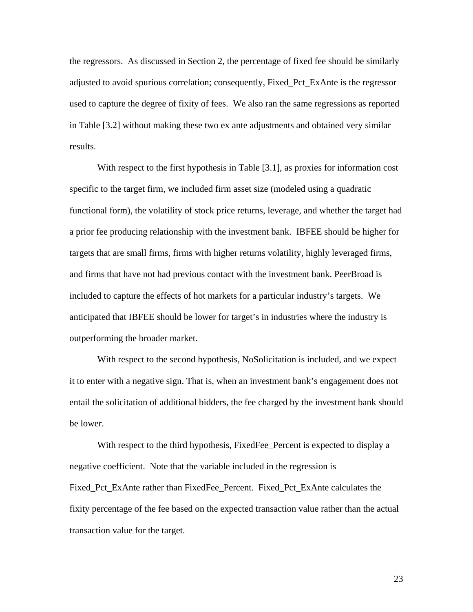the regressors. As discussed in Section 2, the percentage of fixed fee should be similarly adjusted to avoid spurious correlation; consequently, Fixed\_Pct\_ExAnte is the regressor used to capture the degree of fixity of fees. We also ran the same regressions as reported in Table [3.2] without making these two ex ante adjustments and obtained very similar results.

With respect to the first hypothesis in Table [3.1], as proxies for information cost specific to the target firm, we included firm asset size (modeled using a quadratic functional form), the volatility of stock price returns, leverage, and whether the target had a prior fee producing relationship with the investment bank. IBFEE should be higher for targets that are small firms, firms with higher returns volatility, highly leveraged firms, and firms that have not had previous contact with the investment bank. PeerBroad is included to capture the effects of hot markets for a particular industry's targets. We anticipated that IBFEE should be lower for target's in industries where the industry is outperforming the broader market.

With respect to the second hypothesis, NoSolicitation is included, and we expect it to enter with a negative sign. That is, when an investment bank's engagement does not entail the solicitation of additional bidders, the fee charged by the investment bank should be lower.

With respect to the third hypothesis, FixedFee\_Percent is expected to display a negative coefficient. Note that the variable included in the regression is Fixed\_Pct\_ExAnte rather than FixedFee\_Percent. Fixed\_Pct\_ExAnte calculates the fixity percentage of the fee based on the expected transaction value rather than the actual transaction value for the target.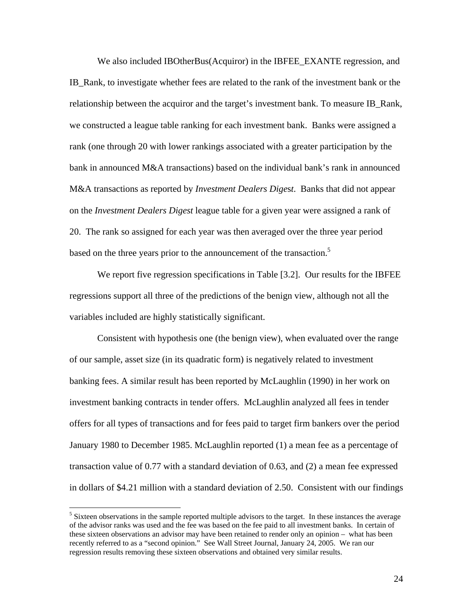We also included IBOtherBus(Acquiror) in the IBFEE\_EXANTE regression, and IB\_Rank, to investigate whether fees are related to the rank of the investment bank or the relationship between the acquiror and the target's investment bank. To measure IB\_Rank, we constructed a league table ranking for each investment bank. Banks were assigned a rank (one through 20 with lower rankings associated with a greater participation by the bank in announced M&A transactions) based on the individual bank's rank in announced M&A transactions as reported by *Investment Dealers Dige*s*t*. Banks that did not appear on the *Investment Dealers Digest* league table for a given year were assigned a rank of 20. The rank so assigned for each year was then averaged over the three year period based on the three years prior to the announcement of the transaction.<sup>5</sup>

 We report five regression specifications in Table [3.2]. Our results for the IBFEE regressions support all three of the predictions of the benign view, although not all the variables included are highly statistically significant.

Consistent with hypothesis one (the benign view), when evaluated over the range of our sample, asset size (in its quadratic form) is negatively related to investment banking fees. A similar result has been reported by McLaughlin (1990) in her work on investment banking contracts in tender offers. McLaughlin analyzed all fees in tender offers for all types of transactions and for fees paid to target firm bankers over the period January 1980 to December 1985. McLaughlin reported (1) a mean fee as a percentage of transaction value of 0.77 with a standard deviation of 0.63, and (2) a mean fee expressed in dollars of \$4.21 million with a standard deviation of 2.50. Consistent with our findings

 $\overline{a}$ 

<sup>&</sup>lt;sup>5</sup> Sixteen observations in the sample reported multiple advisors to the target. In these instances the average of the advisor ranks was used and the fee was based on the fee paid to all investment banks. In certain of these sixteen observations an advisor may have been retained to render only an opinion – what has been recently referred to as a "second opinion." See Wall Street Journal, January 24, 2005. We ran our regression results removing these sixteen observations and obtained very similar results.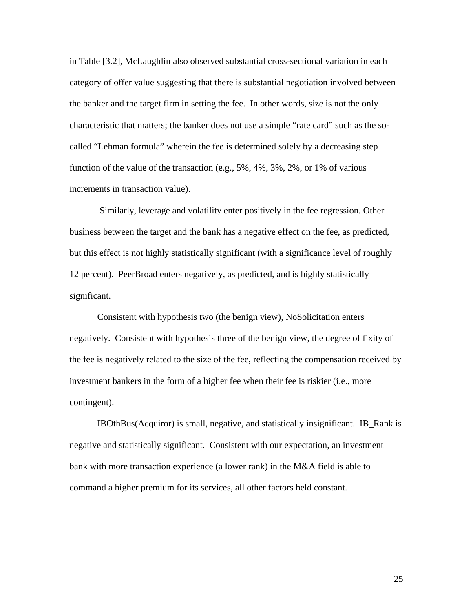in Table [3.2], McLaughlin also observed substantial cross-sectional variation in each category of offer value suggesting that there is substantial negotiation involved between the banker and the target firm in setting the fee. In other words, size is not the only characteristic that matters; the banker does not use a simple "rate card" such as the socalled "Lehman formula" wherein the fee is determined solely by a decreasing step function of the value of the transaction (e.g., 5%, 4%, 3%, 2%, or 1% of various increments in transaction value).

 Similarly, leverage and volatility enter positively in the fee regression. Other business between the target and the bank has a negative effect on the fee, as predicted, but this effect is not highly statistically significant (with a significance level of roughly 12 percent). PeerBroad enters negatively, as predicted, and is highly statistically significant.

 Consistent with hypothesis two (the benign view), NoSolicitation enters negatively. Consistent with hypothesis three of the benign view, the degree of fixity of the fee is negatively related to the size of the fee, reflecting the compensation received by investment bankers in the form of a higher fee when their fee is riskier (i.e., more contingent).

 IBOthBus(Acquiror) is small, negative, and statistically insignificant. IB\_Rank is negative and statistically significant. Consistent with our expectation, an investment bank with more transaction experience (a lower rank) in the M&A field is able to command a higher premium for its services, all other factors held constant.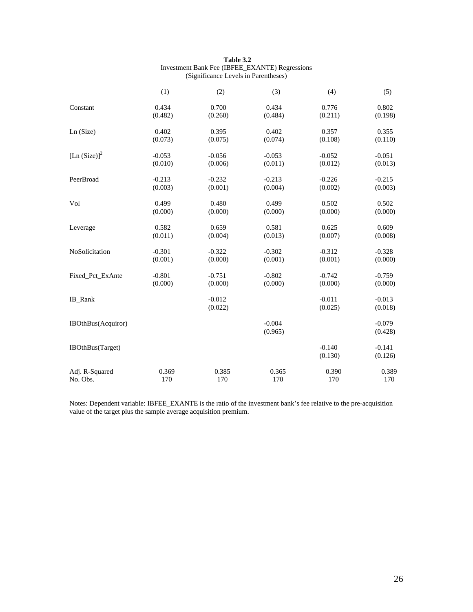| Table 3.2                                             |
|-------------------------------------------------------|
| <b>Investment Bank Fee (IBFEE_EXANTE) Regressions</b> |
| (Significance Levels in Parentheses)                  |

|                             | (1)      | (2)                 | (3)                 | (4)                 | (5)                 |
|-----------------------------|----------|---------------------|---------------------|---------------------|---------------------|
| Constant                    | 0.434    | 0.700               | 0.434               | 0.776               | 0.802               |
|                             | (0.482)  | (0.260)             | (0.484)             | (0.211)             | (0.198)             |
| Ln (Size)                   | 0.402    | 0.395               | 0.402               | 0.357               | 0.355               |
|                             | (0.073)  | (0.075)             | (0.074)             | (0.108)             | (0.110)             |
| [Ln $(Size)$ ] <sup>2</sup> | $-0.053$ | $-0.056$            | $-0.053$            | $-0.052$            | $-0.051$            |
|                             | (0.010)  | (0.006)             | (0.011)             | (0.012)             | (0.013)             |
| PeerBroad                   | $-0.213$ | $-0.232$            | $-0.213$            | $-0.226$            | $-0.215$            |
|                             | (0.003)  | (0.001)             | (0.004)             | (0.002)             | (0.003)             |
| Vol                         | 0.499    | 0.480               | 0.499               | 0.502               | 0.502               |
|                             | (0.000)  | (0.000)             | (0.000)             | (0.000)             | (0.000)             |
| Leverage                    | 0.582    | 0.659               | 0.581               | 0.625               | 0.609               |
|                             | (0.011)  | (0.004)             | (0.013)             | (0.007)             | (0.008)             |
| NoSolicitation              | $-0.301$ | $-0.322$            | $-0.302$            | $-0.312$            | $-0.328$            |
|                             | (0.001)  | (0.000)             | (0.001)             | (0.001)             | (0.000)             |
| Fixed Pct ExAnte            | $-0.801$ | $-0.751$            | $-0.802$            | $-0.742$            | $-0.759$            |
|                             | (0.000)  | (0.000)             | (0.000)             | (0.000)             | (0.000)             |
| IB_Rank                     |          | $-0.012$<br>(0.022) |                     | $-0.011$<br>(0.025) | $-0.013$<br>(0.018) |
| IBOthBus(Acquiror)          |          |                     | $-0.004$<br>(0.965) |                     | $-0.079$<br>(0.428) |
| IBOthBus(Target)            |          |                     |                     | $-0.140$<br>(0.130) | $-0.141$<br>(0.126) |
| Adj. R-Squared              | 0.369    | 0.385               | 0.365               | 0.390               | 0.389               |
| No. Obs.                    | 170      | 170                 | 170                 | 170                 | 170                 |

Notes: Dependent variable: IBFEE\_EXANTE is the ratio of the investment bank's fee relative to the pre-acquisition value of the target plus the sample average acquisition premium.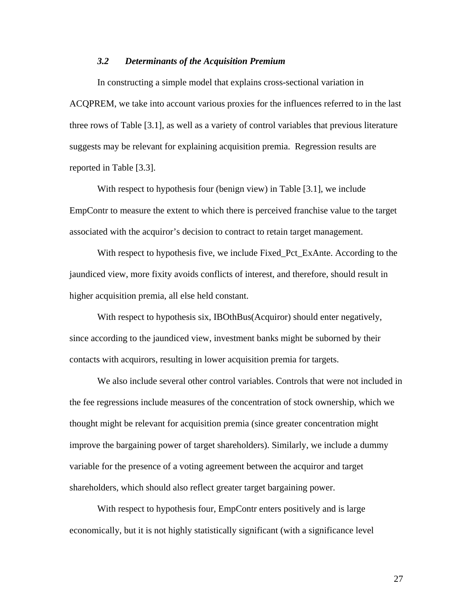# *3.2 Determinants of the Acquisition Premium*

 In constructing a simple model that explains cross-sectional variation in ACQPREM, we take into account various proxies for the influences referred to in the last three rows of Table [3.1], as well as a variety of control variables that previous literature suggests may be relevant for explaining acquisition premia. Regression results are reported in Table [3.3].

 With respect to hypothesis four (benign view) in Table [3.1], we include EmpContr to measure the extent to which there is perceived franchise value to the target associated with the acquiror's decision to contract to retain target management.

 With respect to hypothesis five, we include Fixed\_Pct\_ExAnte. According to the jaundiced view, more fixity avoids conflicts of interest, and therefore, should result in higher acquisition premia, all else held constant.

With respect to hypothesis six, IBOthBus(Acquiror) should enter negatively, since according to the jaundiced view, investment banks might be suborned by their contacts with acquirors, resulting in lower acquisition premia for targets.

We also include several other control variables. Controls that were not included in the fee regressions include measures of the concentration of stock ownership, which we thought might be relevant for acquisition premia (since greater concentration might improve the bargaining power of target shareholders). Similarly, we include a dummy variable for the presence of a voting agreement between the acquiror and target shareholders, which should also reflect greater target bargaining power.

With respect to hypothesis four, EmpContr enters positively and is large economically, but it is not highly statistically significant (with a significance level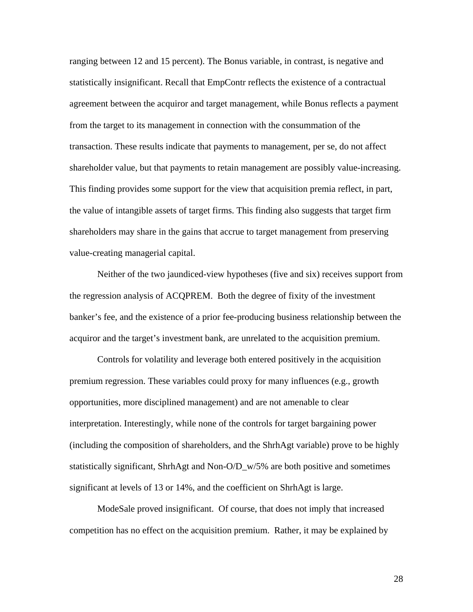ranging between 12 and 15 percent). The Bonus variable, in contrast, is negative and statistically insignificant. Recall that EmpContr reflects the existence of a contractual agreement between the acquiror and target management, while Bonus reflects a payment from the target to its management in connection with the consummation of the transaction. These results indicate that payments to management, per se, do not affect shareholder value, but that payments to retain management are possibly value-increasing. This finding provides some support for the view that acquisition premia reflect, in part, the value of intangible assets of target firms. This finding also suggests that target firm shareholders may share in the gains that accrue to target management from preserving value-creating managerial capital.

Neither of the two jaundiced-view hypotheses (five and six) receives support from the regression analysis of ACQPREM. Both the degree of fixity of the investment banker's fee, and the existence of a prior fee-producing business relationship between the acquiror and the target's investment bank, are unrelated to the acquisition premium.

Controls for volatility and leverage both entered positively in the acquisition premium regression. These variables could proxy for many influences (e.g., growth opportunities, more disciplined management) and are not amenable to clear interpretation. Interestingly, while none of the controls for target bargaining power (including the composition of shareholders, and the ShrhAgt variable) prove to be highly statistically significant, ShrhAgt and Non-O/D\_w/5% are both positive and sometimes significant at levels of 13 or 14%, and the coefficient on ShrhAgt is large.

ModeSale proved insignificant. Of course, that does not imply that increased competition has no effect on the acquisition premium. Rather, it may be explained by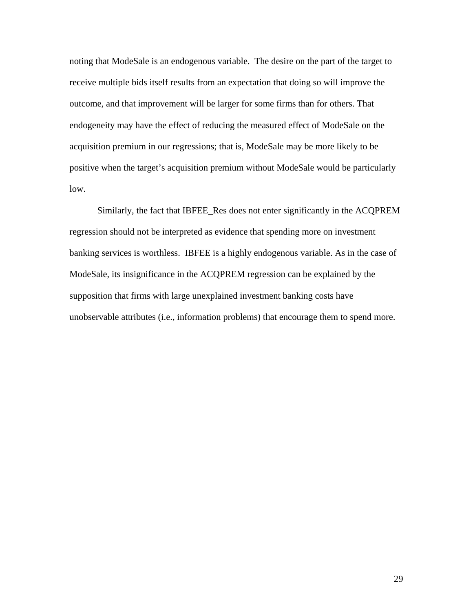noting that ModeSale is an endogenous variable. The desire on the part of the target to receive multiple bids itself results from an expectation that doing so will improve the outcome, and that improvement will be larger for some firms than for others. That endogeneity may have the effect of reducing the measured effect of ModeSale on the acquisition premium in our regressions; that is, ModeSale may be more likely to be positive when the target's acquisition premium without ModeSale would be particularly low.

Similarly, the fact that IBFEE\_Res does not enter significantly in the ACQPREM regression should not be interpreted as evidence that spending more on investment banking services is worthless. IBFEE is a highly endogenous variable. As in the case of ModeSale, its insignificance in the ACQPREM regression can be explained by the supposition that firms with large unexplained investment banking costs have unobservable attributes (i.e., information problems) that encourage them to spend more.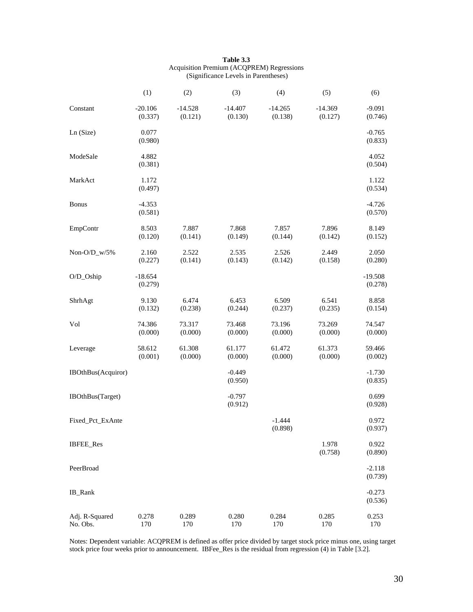| Table 3.3                                        |
|--------------------------------------------------|
| <b>Acquisition Premium (ACOPREM) Regressions</b> |
| (Significance Levels in Parentheses)             |

|                            | (1)                  | (2)                  | (3)                  | (4)                  | (5)                  | (6)                  |
|----------------------------|----------------------|----------------------|----------------------|----------------------|----------------------|----------------------|
| Constant                   | $-20.106$<br>(0.337) | $-14.528$<br>(0.121) | $-14.407$<br>(0.130) | $-14.265$<br>(0.138) | $-14.369$<br>(0.127) | $-9.091$<br>(0.746)  |
| Ln (Size)                  | 0.077<br>(0.980)     |                      |                      |                      |                      | $-0.765$<br>(0.833)  |
| ModeSale                   | 4.882<br>(0.381)     |                      |                      |                      |                      | 4.052<br>(0.504)     |
| MarkAct                    | 1.172<br>(0.497)     |                      |                      |                      |                      | 1.122<br>(0.534)     |
| <b>Bonus</b>               | $-4.353$<br>(0.581)  |                      |                      |                      |                      | $-4.726$<br>(0.570)  |
| EmpContr                   | 8.503<br>(0.120)     | 7.887<br>(0.141)     | 7.868<br>(0.149)     | 7.857<br>(0.144)     | 7.896<br>(0.142)     | 8.149<br>(0.152)     |
| Non-O/D_w/5%               | 2.160<br>(0.227)     | 2.522<br>(0.141)     | 2.535<br>(0.143)     | 2.526<br>(0.142)     | 2.449<br>(0.158)     | 2.050<br>(0.280)     |
| O/D_Oship                  | $-18.654$<br>(0.279) |                      |                      |                      |                      | $-19.508$<br>(0.278) |
| ShrhAgt                    | 9.130<br>(0.132)     | 6.474<br>(0.238)     | 6.453<br>(0.244)     | 6.509<br>(0.237)     | 6.541<br>(0.235)     | 8.858<br>(0.154)     |
| Vol                        | 74.386<br>(0.000)    | 73.317<br>(0.000)    | 73.468<br>(0.000)    | 73.196<br>(0.000)    | 73.269<br>(0.000)    | 74.547<br>(0.000)    |
| Leverage                   | 58.612<br>(0.001)    | 61.308<br>(0.000)    | 61.177<br>(0.000)    | 61.472<br>(0.000)    | 61.373<br>(0.000)    | 59.466<br>(0.002)    |
| IBOthBus(Acquiror)         |                      |                      | $-0.449$<br>(0.950)  |                      |                      | $-1.730$<br>(0.835)  |
| IBOthBus(Target)           |                      |                      | $-0.797$<br>(0.912)  |                      |                      | 0.699<br>(0.928)     |
| Fixed_Pct_ExAnte           |                      |                      |                      | $-1.444$<br>(0.898)  |                      | 0.972<br>(0.937)     |
| <b>IBFEE</b> Res           |                      |                      |                      |                      | 1.978<br>(0.758)     | 0.922<br>(0.890)     |
| PeerBroad                  |                      |                      |                      |                      |                      | $-2.118$<br>(0.739)  |
| IB_Rank                    |                      |                      |                      |                      |                      | $-0.273$<br>(0.536)  |
| Adj. R-Squared<br>No. Obs. | 0.278<br>170         | 0.289<br>170         | 0.280<br>170         | 0.284<br>170         | 0.285<br>170         | 0.253<br>170         |

Notes: Dependent variable: ACQPREM is defined as offer price divided by target stock price minus one, using target stock price four weeks prior to announcement. IBFee\_Res is the residual from regression (4) in Table [3.2].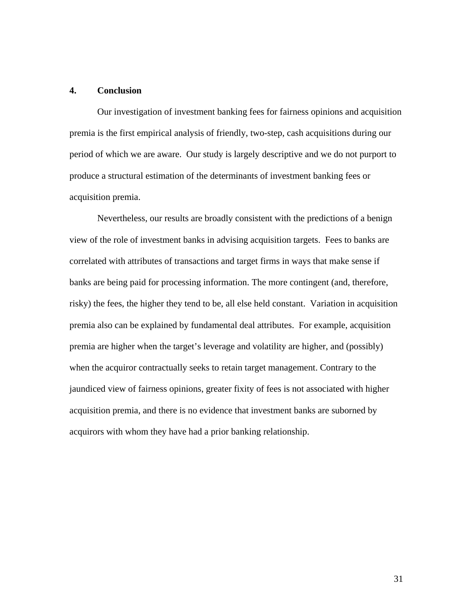# **4. Conclusion**

Our investigation of investment banking fees for fairness opinions and acquisition premia is the first empirical analysis of friendly, two-step, cash acquisitions during our period of which we are aware. Our study is largely descriptive and we do not purport to produce a structural estimation of the determinants of investment banking fees or acquisition premia.

Nevertheless, our results are broadly consistent with the predictions of a benign view of the role of investment banks in advising acquisition targets. Fees to banks are correlated with attributes of transactions and target firms in ways that make sense if banks are being paid for processing information. The more contingent (and, therefore, risky) the fees, the higher they tend to be, all else held constant. Variation in acquisition premia also can be explained by fundamental deal attributes. For example, acquisition premia are higher when the target's leverage and volatility are higher, and (possibly) when the acquiror contractually seeks to retain target management. Contrary to the jaundiced view of fairness opinions, greater fixity of fees is not associated with higher acquisition premia, and there is no evidence that investment banks are suborned by acquirors with whom they have had a prior banking relationship.